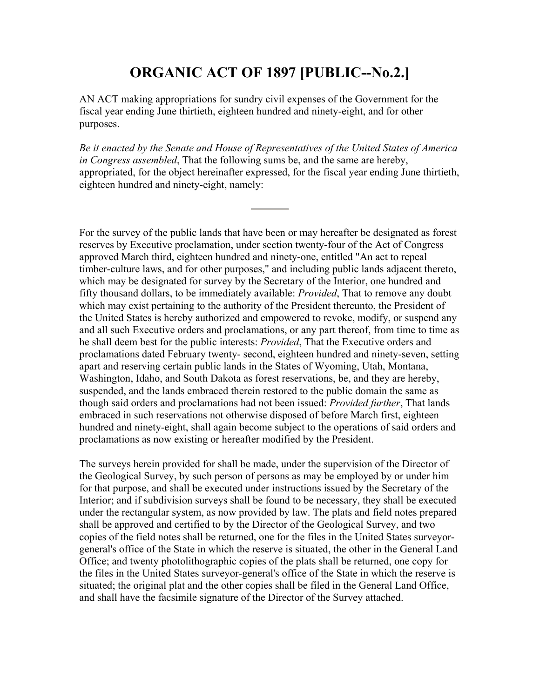# **ORGANIC ACT OF 1897 [PUBLIC--No.2.]**

AN ACT making appropriations for sundry civil expenses of the Government for the fiscal year ending June thirtieth, eighteen hundred and ninety-eight, and for other purposes.

*Be it enacted by the Senate and House of Representatives of the United States of America in Congress assembled*, That the following sums be, and the same are hereby, appropriated, for the object hereinafter expressed, for the fiscal year ending June thirtieth, eighteen hundred and ninety-eight, namely:

For the survey of the public lands that have been or may hereafter be designated as forest reserves by Executive proclamation, under section twenty-four of the Act of Congress approved March third, eighteen hundred and ninety-one, entitled "An act to repeal timber-culture laws, and for other purposes," and including public lands adjacent thereto, which may be designated for survey by the Secretary of the Interior, one hundred and fifty thousand dollars, to be immediately available: *Provided*, That to remove any doubt which may exist pertaining to the authority of the President thereunto, the President of the United States is hereby authorized and empowered to revoke, modify, or suspend any and all such Executive orders and proclamations, or any part thereof, from time to time as he shall deem best for the public interests: *Provided*, That the Executive orders and proclamations dated February twenty- second, eighteen hundred and ninety-seven, setting apart and reserving certain public lands in the States of Wyoming, Utah, Montana, Washington, Idaho, and South Dakota as forest reservations, be, and they are hereby, suspended, and the lands embraced therein restored to the public domain the same as though said orders and proclamations had not been issued: *Provided further*, That lands embraced in such reservations not otherwise disposed of before March first, eighteen hundred and ninety-eight, shall again become subject to the operations of said orders and proclamations as now existing or hereafter modified by the President.

The surveys herein provided for shall be made, under the supervision of the Director of the Geological Survey, by such person of persons as may be employed by or under him for that purpose, and shall be executed under instructions issued by the Secretary of the Interior; and if subdivision surveys shall be found to be necessary, they shall be executed under the rectangular system, as now provided by law. The plats and field notes prepared shall be approved and certified to by the Director of the Geological Survey, and two copies of the field notes shall be returned, one for the files in the United States surveyorgeneral's office of the State in which the reserve is situated, the other in the General Land Office; and twenty photolithographic copies of the plats shall be returned, one copy for the files in the United States surveyor-general's office of the State in which the reserve is situated; the original plat and the other copies shall be filed in the General Land Office, and shall have the facsimile signature of the Director of the Survey attached.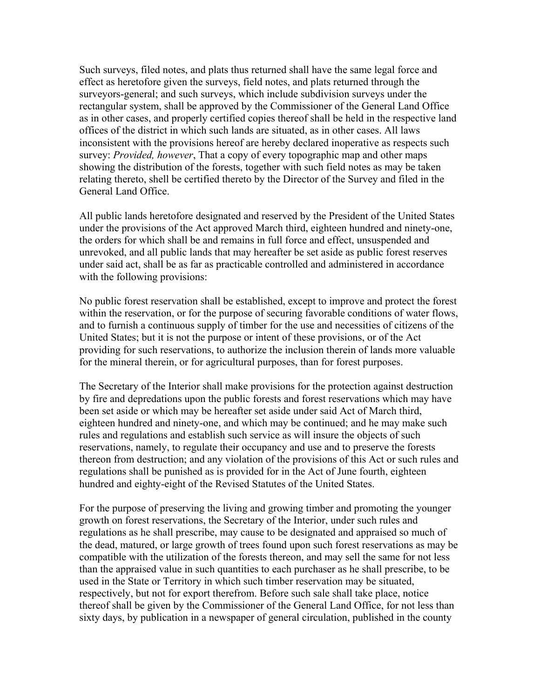Such surveys, filed notes, and plats thus returned shall have the same legal force and effect as heretofore given the surveys, field notes, and plats returned through the surveyors-general; and such surveys, which include subdivision surveys under the rectangular system, shall be approved by the Commissioner of the General Land Office as in other cases, and properly certified copies thereof shall be held in the respective land offices of the district in which such lands are situated, as in other cases. All laws inconsistent with the provisions hereof are hereby declared inoperative as respects such survey: *Provided, however*, That a copy of every topographic map and other maps showing the distribution of the forests, together with such field notes as may be taken relating thereto, shell be certified thereto by the Director of the Survey and filed in the General Land Office.

All public lands heretofore designated and reserved by the President of the United States under the provisions of the Act approved March third, eighteen hundred and ninety-one, the orders for which shall be and remains in full force and effect, unsuspended and unrevoked, and all public lands that may hereafter be set aside as public forest reserves under said act, shall be as far as practicable controlled and administered in accordance with the following provisions:

No public forest reservation shall be established, except to improve and protect the forest within the reservation, or for the purpose of securing favorable conditions of water flows, and to furnish a continuous supply of timber for the use and necessities of citizens of the United States; but it is not the purpose or intent of these provisions, or of the Act providing for such reservations, to authorize the inclusion therein of lands more valuable for the mineral therein, or for agricultural purposes, than for forest purposes.

The Secretary of the Interior shall make provisions for the protection against destruction by fire and depredations upon the public forests and forest reservations which may have been set aside or which may be hereafter set aside under said Act of March third, eighteen hundred and ninety-one, and which may be continued; and he may make such rules and regulations and establish such service as will insure the objects of such reservations, namely, to regulate their occupancy and use and to preserve the forests thereon from destruction; and any violation of the provisions of this Act or such rules and regulations shall be punished as is provided for in the Act of June fourth, eighteen hundred and eighty-eight of the Revised Statutes of the United States.

For the purpose of preserving the living and growing timber and promoting the younger growth on forest reservations, the Secretary of the Interior, under such rules and regulations as he shall prescribe, may cause to be designated and appraised so much of the dead, matured, or large growth of trees found upon such forest reservations as may be compatible with the utilization of the forests thereon, and may sell the same for not less than the appraised value in such quantities to each purchaser as he shall prescribe, to be used in the State or Territory in which such timber reservation may be situated, respectively, but not for export therefrom. Before such sale shall take place, notice thereof shall be given by the Commissioner of the General Land Office, for not less than sixty days, by publication in a newspaper of general circulation, published in the county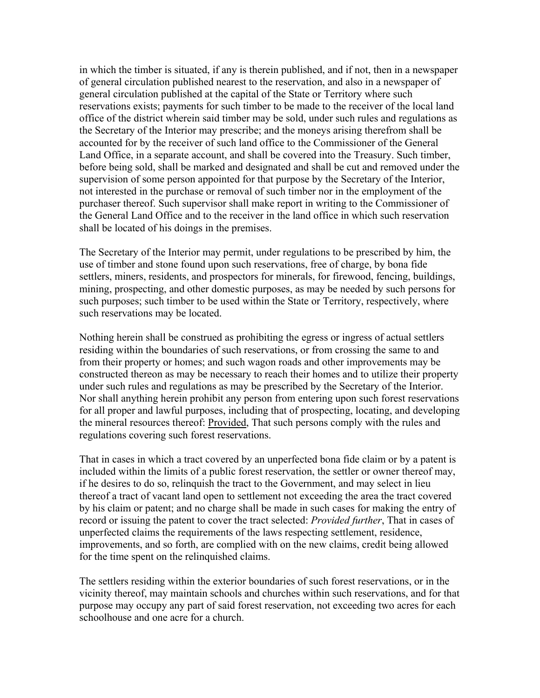in which the timber is situated, if any is therein published, and if not, then in a newspaper of general circulation published nearest to the reservation, and also in a newspaper of general circulation published at the capital of the State or Territory where such reservations exists; payments for such timber to be made to the receiver of the local land office of the district wherein said timber may be sold, under such rules and regulations as the Secretary of the Interior may prescribe; and the moneys arising therefrom shall be accounted for by the receiver of such land office to the Commissioner of the General Land Office, in a separate account, and shall be covered into the Treasury. Such timber, before being sold, shall be marked and designated and shall be cut and removed under the supervision of some person appointed for that purpose by the Secretary of the Interior, not interested in the purchase or removal of such timber nor in the employment of the purchaser thereof. Such supervisor shall make report in writing to the Commissioner of the General Land Office and to the receiver in the land office in which such reservation shall be located of his doings in the premises.

The Secretary of the Interior may permit, under regulations to be prescribed by him, the use of timber and stone found upon such reservations, free of charge, by bona fide settlers, miners, residents, and prospectors for minerals, for firewood, fencing, buildings, mining, prospecting, and other domestic purposes, as may be needed by such persons for such purposes; such timber to be used within the State or Territory, respectively, where such reservations may be located.

Nothing herein shall be construed as prohibiting the egress or ingress of actual settlers residing within the boundaries of such reservations, or from crossing the same to and from their property or homes; and such wagon roads and other improvements may be constructed thereon as may be necessary to reach their homes and to utilize their property under such rules and regulations as may be prescribed by the Secretary of the Interior. Nor shall anything herein prohibit any person from entering upon such forest reservations for all proper and lawful purposes, including that of prospecting, locating, and developing the mineral resources thereof: Provided, That such persons comply with the rules and regulations covering such forest reservations.

That in cases in which a tract covered by an unperfected bona fide claim or by a patent is included within the limits of a public forest reservation, the settler or owner thereof may, if he desires to do so, relinquish the tract to the Government, and may select in lieu thereof a tract of vacant land open to settlement not exceeding the area the tract covered by his claim or patent; and no charge shall be made in such cases for making the entry of record or issuing the patent to cover the tract selected: *Provided further*, That in cases of unperfected claims the requirements of the laws respecting settlement, residence, improvements, and so forth, are complied with on the new claims, credit being allowed for the time spent on the relinquished claims.

The settlers residing within the exterior boundaries of such forest reservations, or in the vicinity thereof, may maintain schools and churches within such reservations, and for that purpose may occupy any part of said forest reservation, not exceeding two acres for each schoolhouse and one acre for a church.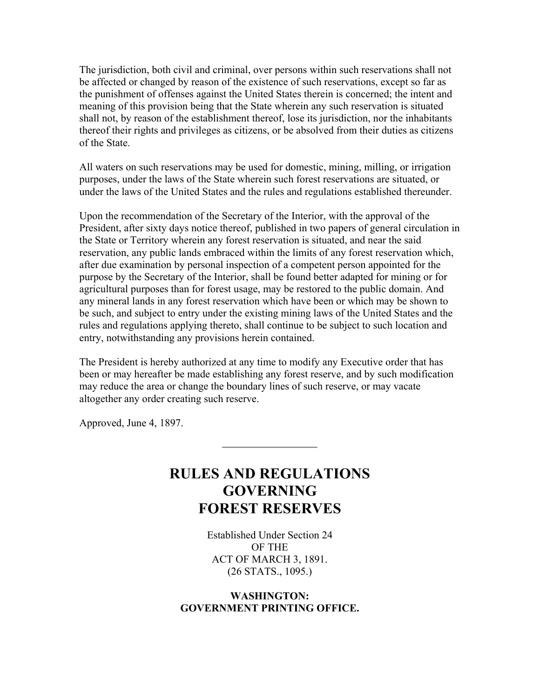The jurisdiction, both civil and criminal, over persons within such reservations shall not be affected or changed by reason of the existence of such reservations, except so far as the punishment of offenses against the United States therein is concerned; the intent and meaning of this provision being that the State wherein any such reservation is situated shall not, by reason of the establishment thereof, lose its jurisdiction, nor the inhabitants thereof their rights and privileges as citizens, or be absolved from their duties as citizens of the State.

All waters on such reservations may be used for domestic, mining, milling, or irrigation purposes, under the laws of the State wherein such forest reservations are situated, or under the laws of the United States and the rules and regulations established thereunder.

Upon the recommendation of the Secretary of the Interior, with the approval of the President, after sixty days notice thereof, published in two papers of general circulation in the State or Territory wherein any forest reservation is situated, and near the said reservation, any public lands embraced within the limits of any forest reservation which, after due examination by personal inspection of a competent person appointed for the purpose by the Secretary of the Interior, shall be found better adapted for mining or for agricultural purposes than for forest usage, may be restored to the public domain. And any mineral lands in any forest reservation which have been or which may be shown to be such, and subject to entry under the existing mining laws of the United States and the rules and regulations applying thereto, shall continue to be subject to such location and entry, notwithstanding any provisions herein contained.

The President is hereby authorized at any time to modify any Executive order that has been or may hereafter be made establishing any forest reserve, and by such modification may reduce the area or change the boundary lines of such reserve, or may vacate altogether any order creating such reserve.

Approved, June 4, 1897.

# **RULES AND REGULATIONS GOVERNING FOREST RESERVES**

Established Under Section 24 OF THE ACT OF MARCH 3, 1891. (26 STATS., 1095.)

#### **WASHINGTON: GOVERNMENT PRINTING OFFICE.**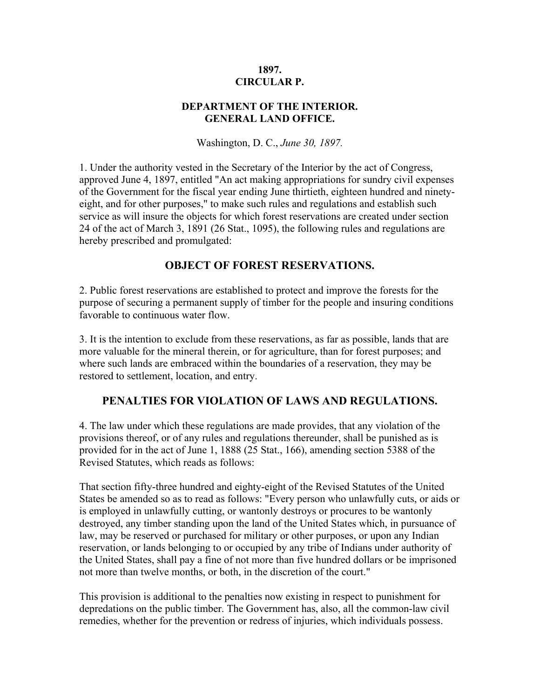#### **1897. CIRCULAR P.**

#### **DEPARTMENT OF THE INTERIOR. GENERAL LAND OFFICE.**

Washington, D. C., *June 30, 1897.*

1. Under the authority vested in the Secretary of the Interior by the act of Congress, approved June 4, 1897, entitled "An act making appropriations for sundry civil expenses of the Government for the fiscal year ending June thirtieth, eighteen hundred and ninetyeight, and for other purposes," to make such rules and regulations and establish such service as will insure the objects for which forest reservations are created under section 24 of the act of March 3, 1891 (26 Stat., 1095), the following rules and regulations are hereby prescribed and promulgated:

## **OBJECT OF FOREST RESERVATIONS.**

2. Public forest reservations are established to protect and improve the forests for the purpose of securing a permanent supply of timber for the people and insuring conditions favorable to continuous water flow.

3. It is the intention to exclude from these reservations, as far as possible, lands that are more valuable for the mineral therein, or for agriculture, than for forest purposes; and where such lands are embraced within the boundaries of a reservation, they may be restored to settlement, location, and entry.

## **PENALTIES FOR VIOLATION OF LAWS AND REGULATIONS.**

4. The law under which these regulations are made provides, that any violation of the provisions thereof, or of any rules and regulations thereunder, shall be punished as is provided for in the act of June 1, 1888 (25 Stat., 166), amending section 5388 of the Revised Statutes, which reads as follows:

That section fifty-three hundred and eighty-eight of the Revised Statutes of the United States be amended so as to read as follows: "Every person who unlawfully cuts, or aids or is employed in unlawfully cutting, or wantonly destroys or procures to be wantonly destroyed, any timber standing upon the land of the United States which, in pursuance of law, may be reserved or purchased for military or other purposes, or upon any Indian reservation, or lands belonging to or occupied by any tribe of Indians under authority of the United States, shall pay a fine of not more than five hundred dollars or be imprisoned not more than twelve months, or both, in the discretion of the court."

This provision is additional to the penalties now existing in respect to punishment for depredations on the public timber. The Government has, also, all the common-law civil remedies, whether for the prevention or redress of injuries, which individuals possess.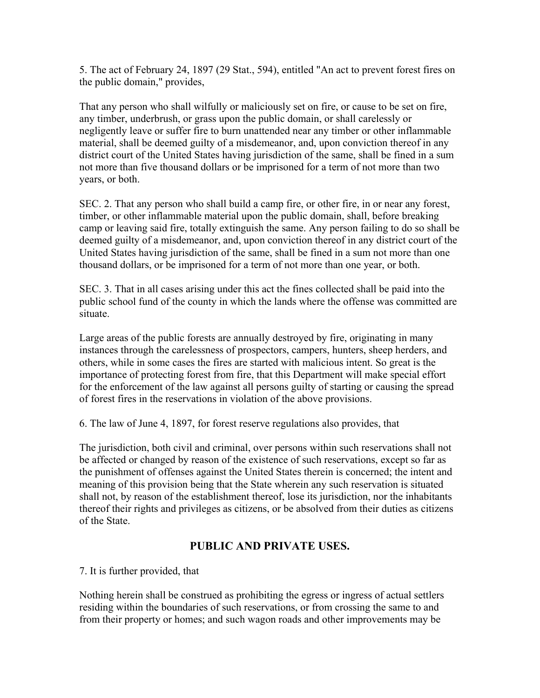5. The act of February 24, 1897 (29 Stat., 594), entitled "An act to prevent forest fires on the public domain," provides,

That any person who shall wilfully or maliciously set on fire, or cause to be set on fire, any timber, underbrush, or grass upon the public domain, or shall carelessly or negligently leave or suffer fire to burn unattended near any timber or other inflammable material, shall be deemed guilty of a misdemeanor, and, upon conviction thereof in any district court of the United States having jurisdiction of the same, shall be fined in a sum not more than five thousand dollars or be imprisoned for a term of not more than two years, or both.

SEC. 2. That any person who shall build a camp fire, or other fire, in or near any forest, timber, or other inflammable material upon the public domain, shall, before breaking camp or leaving said fire, totally extinguish the same. Any person failing to do so shall be deemed guilty of a misdemeanor, and, upon conviction thereof in any district court of the United States having jurisdiction of the same, shall be fined in a sum not more than one thousand dollars, or be imprisoned for a term of not more than one year, or both.

SEC. 3. That in all cases arising under this act the fines collected shall be paid into the public school fund of the county in which the lands where the offense was committed are situate.

Large areas of the public forests are annually destroyed by fire, originating in many instances through the carelessness of prospectors, campers, hunters, sheep herders, and others, while in some cases the fires are started with malicious intent. So great is the importance of protecting forest from fire, that this Department will make special effort for the enforcement of the law against all persons guilty of starting or causing the spread of forest fires in the reservations in violation of the above provisions.

6. The law of June 4, 1897, for forest reserve regulations also provides, that

The jurisdiction, both civil and criminal, over persons within such reservations shall not be affected or changed by reason of the existence of such reservations, except so far as the punishment of offenses against the United States therein is concerned; the intent and meaning of this provision being that the State wherein any such reservation is situated shall not, by reason of the establishment thereof, lose its jurisdiction, nor the inhabitants thereof their rights and privileges as citizens, or be absolved from their duties as citizens of the State.

## **PUBLIC AND PRIVATE USES.**

7. It is further provided, that

Nothing herein shall be construed as prohibiting the egress or ingress of actual settlers residing within the boundaries of such reservations, or from crossing the same to and from their property or homes; and such wagon roads and other improvements may be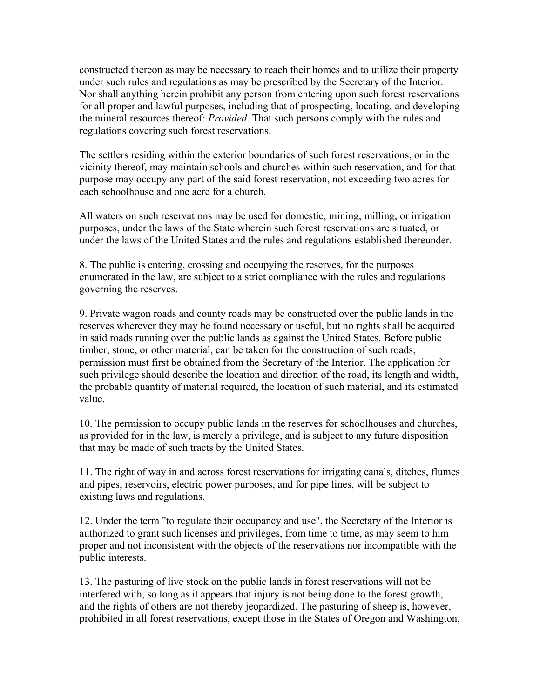constructed thereon as may be necessary to reach their homes and to utilize their property under such rules and regulations as may be prescribed by the Secretary of the Interior. Nor shall anything herein prohibit any person from entering upon such forest reservations for all proper and lawful purposes, including that of prospecting, locating, and developing the mineral resources thereof: *Provided*. That such persons comply with the rules and regulations covering such forest reservations.

The settlers residing within the exterior boundaries of such forest reservations, or in the vicinity thereof, may maintain schools and churches within such reservation, and for that purpose may occupy any part of the said forest reservation, not exceeding two acres for each schoolhouse and one acre for a church.

All waters on such reservations may be used for domestic, mining, milling, or irrigation purposes, under the laws of the State wherein such forest reservations are situated, or under the laws of the United States and the rules and regulations established thereunder.

8. The public is entering, crossing and occupying the reserves, for the purposes enumerated in the law, are subject to a strict compliance with the rules and regulations governing the reserves.

9. Private wagon roads and county roads may be constructed over the public lands in the reserves wherever they may be found necessary or useful, but no rights shall be acquired in said roads running over the public lands as against the United States. Before public timber, stone, or other material, can be taken for the construction of such roads, permission must first be obtained from the Secretary of the Interior. The application for such privilege should describe the location and direction of the road, its length and width, the probable quantity of material required, the location of such material, and its estimated value.

10. The permission to occupy public lands in the reserves for schoolhouses and churches, as provided for in the law, is merely a privilege, and is subject to any future disposition that may be made of such tracts by the United States.

11. The right of way in and across forest reservations for irrigating canals, ditches, flumes and pipes, reservoirs, electric power purposes, and for pipe lines, will be subject to existing laws and regulations.

12. Under the term "to regulate their occupancy and use", the Secretary of the Interior is authorized to grant such licenses and privileges, from time to time, as may seem to him proper and not inconsistent with the objects of the reservations nor incompatible with the public interests.

13. The pasturing of live stock on the public lands in forest reservations will not be interfered with, so long as it appears that injury is not being done to the forest growth, and the rights of others are not thereby jeopardized. The pasturing of sheep is, however, prohibited in all forest reservations, except those in the States of Oregon and Washington,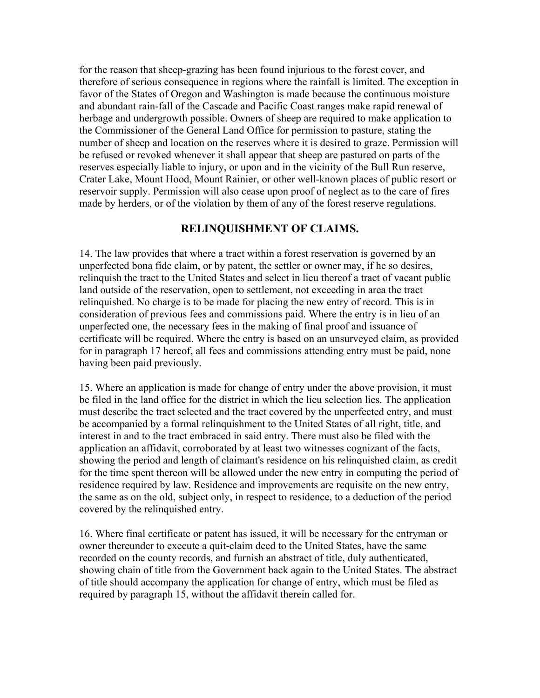for the reason that sheep-grazing has been found injurious to the forest cover, and therefore of serious consequence in regions where the rainfall is limited. The exception in favor of the States of Oregon and Washington is made because the continuous moisture and abundant rain-fall of the Cascade and Pacific Coast ranges make rapid renewal of herbage and undergrowth possible. Owners of sheep are required to make application to the Commissioner of the General Land Office for permission to pasture, stating the number of sheep and location on the reserves where it is desired to graze. Permission will be refused or revoked whenever it shall appear that sheep are pastured on parts of the reserves especially liable to injury, or upon and in the vicinity of the Bull Run reserve, Crater Lake, Mount Hood, Mount Rainier, or other well-known places of public resort or reservoir supply. Permission will also cease upon proof of neglect as to the care of fires made by herders, or of the violation by them of any of the forest reserve regulations.

# **RELINQUISHMENT OF CLAIMS.**

14. The law provides that where a tract within a forest reservation is governed by an unperfected bona fide claim, or by patent, the settler or owner may, if he so desires, relinquish the tract to the United States and select in lieu thereof a tract of vacant public land outside of the reservation, open to settlement, not exceeding in area the tract relinquished. No charge is to be made for placing the new entry of record. This is in consideration of previous fees and commissions paid. Where the entry is in lieu of an unperfected one, the necessary fees in the making of final proof and issuance of certificate will be required. Where the entry is based on an unsurveyed claim, as provided for in paragraph 17 hereof, all fees and commissions attending entry must be paid, none having been paid previously.

15. Where an application is made for change of entry under the above provision, it must be filed in the land office for the district in which the lieu selection lies. The application must describe the tract selected and the tract covered by the unperfected entry, and must be accompanied by a formal relinquishment to the United States of all right, title, and interest in and to the tract embraced in said entry. There must also be filed with the application an affidavit, corroborated by at least two witnesses cognizant of the facts, showing the period and length of claimant's residence on his relinquished claim, as credit for the time spent thereon will be allowed under the new entry in computing the period of residence required by law. Residence and improvements are requisite on the new entry, the same as on the old, subject only, in respect to residence, to a deduction of the period covered by the relinquished entry.

16. Where final certificate or patent has issued, it will be necessary for the entryman or owner thereunder to execute a quit-claim deed to the United States, have the same recorded on the county records, and furnish an abstract of title, duly authenticated, showing chain of title from the Government back again to the United States. The abstract of title should accompany the application for change of entry, which must be filed as required by paragraph 15, without the affidavit therein called for.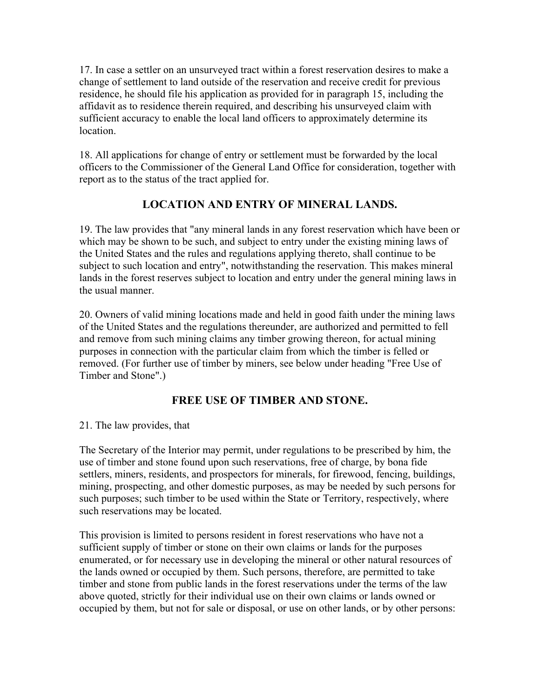17. In case a settler on an unsurveyed tract within a forest reservation desires to make a change of settlement to land outside of the reservation and receive credit for previous residence, he should file his application as provided for in paragraph 15, including the affidavit as to residence therein required, and describing his unsurveyed claim with sufficient accuracy to enable the local land officers to approximately determine its location.

18. All applications for change of entry or settlement must be forwarded by the local officers to the Commissioner of the General Land Office for consideration, together with report as to the status of the tract applied for.

## **LOCATION AND ENTRY OF MINERAL LANDS.**

19. The law provides that "any mineral lands in any forest reservation which have been or which may be shown to be such, and subject to entry under the existing mining laws of the United States and the rules and regulations applying thereto, shall continue to be subject to such location and entry", notwithstanding the reservation. This makes mineral lands in the forest reserves subject to location and entry under the general mining laws in the usual manner.

20. Owners of valid mining locations made and held in good faith under the mining laws of the United States and the regulations thereunder, are authorized and permitted to fell and remove from such mining claims any timber growing thereon, for actual mining purposes in connection with the particular claim from which the timber is felled or removed. (For further use of timber by miners, see below under heading "Free Use of Timber and Stone".)

# **FREE USE OF TIMBER AND STONE.**

21. The law provides, that

The Secretary of the Interior may permit, under regulations to be prescribed by him, the use of timber and stone found upon such reservations, free of charge, by bona fide settlers, miners, residents, and prospectors for minerals, for firewood, fencing, buildings, mining, prospecting, and other domestic purposes, as may be needed by such persons for such purposes; such timber to be used within the State or Territory, respectively, where such reservations may be located.

This provision is limited to persons resident in forest reservations who have not a sufficient supply of timber or stone on their own claims or lands for the purposes enumerated, or for necessary use in developing the mineral or other natural resources of the lands owned or occupied by them. Such persons, therefore, are permitted to take timber and stone from public lands in the forest reservations under the terms of the law above quoted, strictly for their individual use on their own claims or lands owned or occupied by them, but not for sale or disposal, or use on other lands, or by other persons: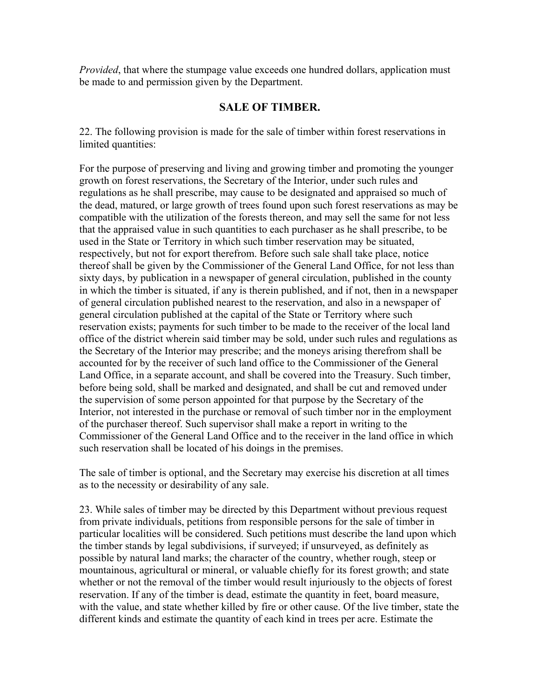*Provided*, that where the stumpage value exceeds one hundred dollars, application must be made to and permission given by the Department.

#### **SALE OF TIMBER.**

22. The following provision is made for the sale of timber within forest reservations in limited quantities:

For the purpose of preserving and living and growing timber and promoting the younger growth on forest reservations, the Secretary of the Interior, under such rules and regulations as he shall prescribe, may cause to be designated and appraised so much of the dead, matured, or large growth of trees found upon such forest reservations as may be compatible with the utilization of the forests thereon, and may sell the same for not less that the appraised value in such quantities to each purchaser as he shall prescribe, to be used in the State or Territory in which such timber reservation may be situated, respectively, but not for export therefrom. Before such sale shall take place, notice thereof shall be given by the Commissioner of the General Land Office, for not less than sixty days, by publication in a newspaper of general circulation, published in the county in which the timber is situated, if any is therein published, and if not, then in a newspaper of general circulation published nearest to the reservation, and also in a newspaper of general circulation published at the capital of the State or Territory where such reservation exists; payments for such timber to be made to the receiver of the local land office of the district wherein said timber may be sold, under such rules and regulations as the Secretary of the Interior may prescribe; and the moneys arising therefrom shall be accounted for by the receiver of such land office to the Commissioner of the General Land Office, in a separate account, and shall be covered into the Treasury. Such timber, before being sold, shall be marked and designated, and shall be cut and removed under the supervision of some person appointed for that purpose by the Secretary of the Interior, not interested in the purchase or removal of such timber nor in the employment of the purchaser thereof. Such supervisor shall make a report in writing to the Commissioner of the General Land Office and to the receiver in the land office in which such reservation shall be located of his doings in the premises.

The sale of timber is optional, and the Secretary may exercise his discretion at all times as to the necessity or desirability of any sale.

23. While sales of timber may be directed by this Department without previous request from private individuals, petitions from responsible persons for the sale of timber in particular localities will be considered. Such petitions must describe the land upon which the timber stands by legal subdivisions, if surveyed; if unsurveyed, as definitely as possible by natural land marks; the character of the country, whether rough, steep or mountainous, agricultural or mineral, or valuable chiefly for its forest growth; and state whether or not the removal of the timber would result injuriously to the objects of forest reservation. If any of the timber is dead, estimate the quantity in feet, board measure, with the value, and state whether killed by fire or other cause. Of the live timber, state the different kinds and estimate the quantity of each kind in trees per acre. Estimate the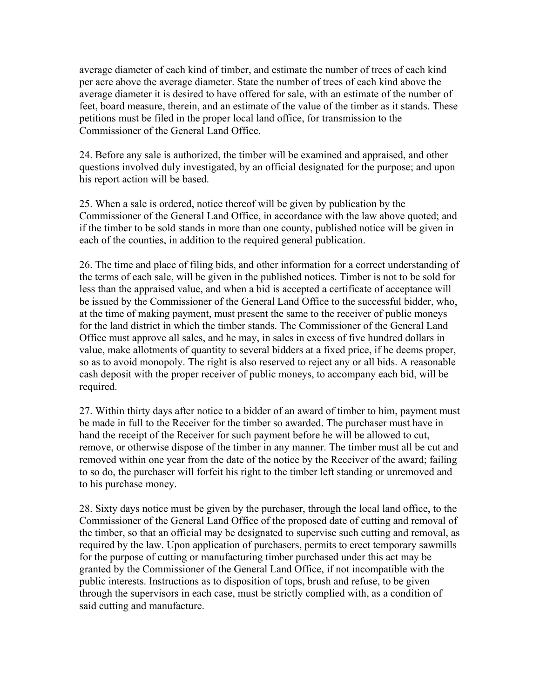average diameter of each kind of timber, and estimate the number of trees of each kind per acre above the average diameter. State the number of trees of each kind above the average diameter it is desired to have offered for sale, with an estimate of the number of feet, board measure, therein, and an estimate of the value of the timber as it stands. These petitions must be filed in the proper local land office, for transmission to the Commissioner of the General Land Office.

24. Before any sale is authorized, the timber will be examined and appraised, and other questions involved duly investigated, by an official designated for the purpose; and upon his report action will be based.

25. When a sale is ordered, notice thereof will be given by publication by the Commissioner of the General Land Office, in accordance with the law above quoted; and if the timber to be sold stands in more than one county, published notice will be given in each of the counties, in addition to the required general publication.

26. The time and place of filing bids, and other information for a correct understanding of the terms of each sale, will be given in the published notices. Timber is not to be sold for less than the appraised value, and when a bid is accepted a certificate of acceptance will be issued by the Commissioner of the General Land Office to the successful bidder, who, at the time of making payment, must present the same to the receiver of public moneys for the land district in which the timber stands. The Commissioner of the General Land Office must approve all sales, and he may, in sales in excess of five hundred dollars in value, make allotments of quantity to several bidders at a fixed price, if he deems proper, so as to avoid monopoly. The right is also reserved to reject any or all bids. A reasonable cash deposit with the proper receiver of public moneys, to accompany each bid, will be required.

27. Within thirty days after notice to a bidder of an award of timber to him, payment must be made in full to the Receiver for the timber so awarded. The purchaser must have in hand the receipt of the Receiver for such payment before he will be allowed to cut, remove, or otherwise dispose of the timber in any manner. The timber must all be cut and removed within one year from the date of the notice by the Receiver of the award; failing to so do, the purchaser will forfeit his right to the timber left standing or unremoved and to his purchase money.

28. Sixty days notice must be given by the purchaser, through the local land office, to the Commissioner of the General Land Office of the proposed date of cutting and removal of the timber, so that an official may be designated to supervise such cutting and removal, as required by the law. Upon application of purchasers, permits to erect temporary sawmills for the purpose of cutting or manufacturing timber purchased under this act may be granted by the Commissioner of the General Land Office, if not incompatible with the public interests. Instructions as to disposition of tops, brush and refuse, to be given through the supervisors in each case, must be strictly complied with, as a condition of said cutting and manufacture.